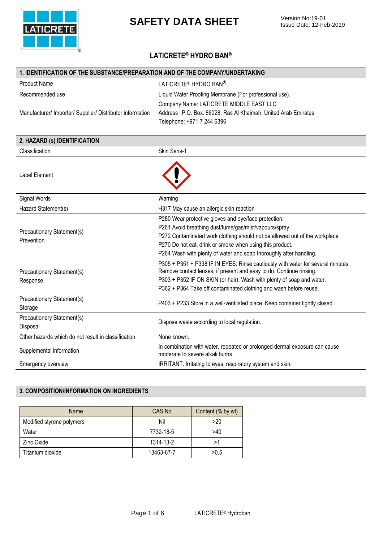

## **LATICRETE® HYDRO BAN®**

| 1. IDENTIFICATION OF THE SUBSTANCE/PREPARATION AND OF THE COMPANY/UNDERTAKING |                                                                                                                                              |  |
|-------------------------------------------------------------------------------|----------------------------------------------------------------------------------------------------------------------------------------------|--|
| <b>Product Name</b>                                                           | LATICRETE <sup>®</sup> HYDRO BAN <sup>®</sup>                                                                                                |  |
| Recommended use                                                               | Liquid Water Proofing Membrane (For professional use).                                                                                       |  |
|                                                                               | Company Name: LATICRETE MIDDLE EAST LLC                                                                                                      |  |
| Manufacturer/ Importer/ Supplier/ Distributor information                     | Address P.O. Box. 86028, Ras Al Khaimah, United Arab Emirates                                                                                |  |
|                                                                               | Telephone: +971 7 244 6396                                                                                                                   |  |
|                                                                               |                                                                                                                                              |  |
| 2. HAZARD (s) IDENTIFICATION                                                  |                                                                                                                                              |  |
| Classification                                                                | Skin Sens-1                                                                                                                                  |  |
|                                                                               |                                                                                                                                              |  |
| <b>Label Element</b>                                                          |                                                                                                                                              |  |
|                                                                               |                                                                                                                                              |  |
|                                                                               |                                                                                                                                              |  |
| Signal Words                                                                  | Warning                                                                                                                                      |  |
| Hazard Statement(s)                                                           | H317 May cause an allergic skin reaction                                                                                                     |  |
|                                                                               | P280 Wear protective gloves and eye/face protection.                                                                                         |  |
| Precautionary Statement(s)                                                    | P261 Avoid breathing dust/fume/gas/mist/vapours/spray.                                                                                       |  |
| Prevention                                                                    | P272 Contaminated work clothing should not be allowed out of the workplace                                                                   |  |
|                                                                               | P270 Do not eat, drink or smoke when using this product.                                                                                     |  |
|                                                                               | P264 Wash with plenty of water and soap thoroughly after handling.                                                                           |  |
|                                                                               | P305 + P351 + P338 IF IN EYES: Rinse cautiously with water for several minutes.                                                              |  |
| Precautionary Statement(s)                                                    | Remove contact lenses, if present and easy to do. Continue rinsing.<br>P303 + P352 IF ON SKIN (or hair): Wash with plenty of soap and water. |  |
| Response                                                                      | P362 + P364 Take off contaminated clothing and wash before reuse.                                                                            |  |
|                                                                               |                                                                                                                                              |  |
| Precautionary Statement(s)<br>Storage                                         | P403 + P233 Store in a well-ventilated place. Keep container tightly closed.                                                                 |  |
| Precautionary Statement(s)                                                    |                                                                                                                                              |  |
| Disposal                                                                      | Dispose waste according to local regulation.                                                                                                 |  |
|                                                                               |                                                                                                                                              |  |
| Other hazards which do not result in classification                           | None known.                                                                                                                                  |  |
| Supplemental information                                                      | In combination with water, repeated or prolonged dermal exposure can cause<br>moderate to severe alkali burns                                |  |
| Emergency overview                                                            | IRRITANT. Irritating to eyes, respiratory system and skin.                                                                                   |  |
|                                                                               |                                                                                                                                              |  |

### **3. COMPOSITION/INFORMATION ON INGREDIENTS**

| Name                      | CAS No     | Content (% by wt) |
|---------------------------|------------|-------------------|
| Modified styrene polymers | Nil        | >20               |
| Water                     | 7732-18-5  | >40               |
| Zinc Oxide                | 1314-13-2  | >1                |
| Titanium dioxide          | 13463-67-7 | >0.5              |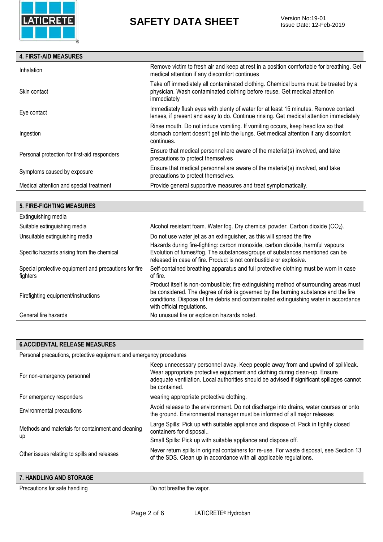

Issue Date: 12-Feb-2019

#### **4. FIRST-AID MEASURES**

| Inhalation                                   | Remove victim to fresh air and keep at rest in a position comfortable for breathing. Get<br>medical attention if any discomfort continues                                           |
|----------------------------------------------|-------------------------------------------------------------------------------------------------------------------------------------------------------------------------------------|
| Skin contact                                 | Take off immediately all contaminated clothing. Chemical burns must be treated by a<br>physician. Wash contaminated clothing before reuse. Get medical attention<br>immediately     |
| Eye contact                                  | Immediately flush eyes with plenty of water for at least 15 minutes. Remove contact<br>lenses, if present and easy to do. Continue rinsing. Get medical attention immediately       |
| Ingestion                                    | Rinse mouth. Do not induce vomiting. If vomiting occurs, keep head low so that<br>stomach content doesn't get into the lungs. Get medical attention if any discomfort<br>continues. |
| Personal protection for first-aid responders | Ensure that medical personnel are aware of the material(s) involved, and take<br>precautions to protect themselves                                                                  |
| Symptoms caused by exposure                  | Ensure that medical personnel are aware of the material(s) involved, and take<br>precautions to protect themselves.                                                                 |
| Medical attention and special treatment      | Provide general supportive measures and treat symptomatically.                                                                                                                      |
|                                              |                                                                                                                                                                                     |

## **5. FIRE-FIGHTING MEASURES**

| Extinguishing media                                               |                                                                                                                                                                                                                                                                                                      |
|-------------------------------------------------------------------|------------------------------------------------------------------------------------------------------------------------------------------------------------------------------------------------------------------------------------------------------------------------------------------------------|
| Suitable extinguishing media                                      | Alcohol resistant foam. Water fog. Dry chemical powder. Carbon dioxide (CO2).                                                                                                                                                                                                                        |
| Unsuitable extinguishing media                                    | Do not use water jet as an extinguisher, as this will spread the fire                                                                                                                                                                                                                                |
| Specific hazards arising from the chemical                        | Hazards during fire-fighting: carbon monoxide, carbon dioxide, harmful vapours<br>Evolution of fumes/fog. The substances/groups of substances mentioned can be<br>released in case of fire. Product is not combustible or explosive.                                                                 |
| Special protective equipment and precautions for fire<br>fighters | Self-contained breathing apparatus and full protective clothing must be worn in case<br>of fire.                                                                                                                                                                                                     |
| Firefighting equipment/instructions                               | Product itself is non-combustible; fire extinguishing method of surrounding areas must<br>be considered. The degree of risk is governed by the burning substance and the fire<br>conditions. Dispose of fire debris and contaminated extinguishing water in accordance<br>with official regulations. |
| General fire hazards                                              | No unusual fire or explosion hazards noted.                                                                                                                                                                                                                                                          |

#### **6.ACCIDENTAL RELEASE MEASURES**

Personal precautions, protective equipment and emergency procedures

| For non-emergency personnel                              | Keep unnecessary personnel away. Keep people away from and upwind of spill/leak.<br>Wear appropriate protective equipment and clothing during clean-up. Ensure<br>adequate ventilation. Local authorities should be advised if significant spillages cannot<br>be contained. |
|----------------------------------------------------------|------------------------------------------------------------------------------------------------------------------------------------------------------------------------------------------------------------------------------------------------------------------------------|
| For emergency responders                                 | wearing appropriate protective clothing.                                                                                                                                                                                                                                     |
| Environmental precautions                                | Avoid release to the environment. Do not discharge into drains, water courses or onto<br>the ground. Environmental manager must be informed of all major releases                                                                                                            |
| Methods and materials for containment and cleaning<br>up | Large Spills: Pick up with suitable appliance and dispose of. Pack in tightly closed<br>containers for disposal                                                                                                                                                              |
|                                                          | Small Spills: Pick up with suitable appliance and dispose off.                                                                                                                                                                                                               |
| Other issues relating to spills and releases             | Never return spills in original containers for re-use. For waste disposal, see Section 13<br>of the SDS. Clean up in accordance with all applicable regulations.                                                                                                             |
|                                                          |                                                                                                                                                                                                                                                                              |

| HANDLING AND STORAGE<br>$\overline{\phantom{0}}$ |  |
|--------------------------------------------------|--|
|--------------------------------------------------|--|

Precautions for safe handling Do not breathe the vapor.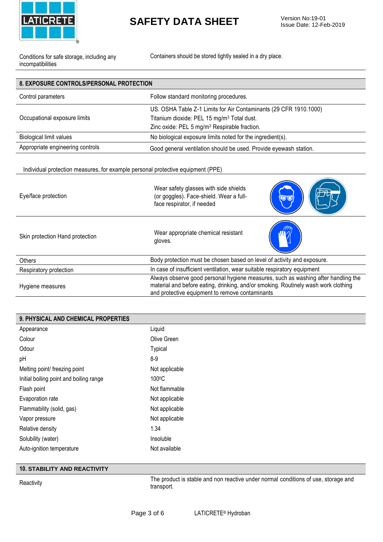

Issue Date: 12-Feb-2019

Conditions for safe storage, including any incompatibilities

Containers should be stored tightly sealed in a dry place.

| <b>8. EXPOSURE CONTROLS/PERSONAL PROTECTION</b>                                 |                                                                                                                                                                                                                            |  |
|---------------------------------------------------------------------------------|----------------------------------------------------------------------------------------------------------------------------------------------------------------------------------------------------------------------------|--|
| Control parameters                                                              | Follow standard monitoring procedures.                                                                                                                                                                                     |  |
| Occupational exposure limits                                                    | US. OSHA Table Z-1 Limits for Air Contaminants (29 CFR 1910.1000)<br>Titanium dioxide: PEL 15 mg/m <sup>3</sup> Total dust.<br>Zinc oxide: PEL 5 mg/m <sup>3</sup> Respirable fraction.                                    |  |
| <b>Biological limit values</b>                                                  | No biological exposure limits noted for the ingredient(s).                                                                                                                                                                 |  |
| Appropriate engineering controls                                                | Good general ventilation should be used. Provide eyewash station.                                                                                                                                                          |  |
| Individual protection measures, for example personal protective equipment (PPE) |                                                                                                                                                                                                                            |  |
| Eye/face protection                                                             | Wear safety glasses with side shields<br>(or goggles). Face-shield. Wear a full-<br><b>OIO</b><br>face respirator, if needed                                                                                               |  |
| Skin protection Hand protection                                                 | Wear appropriate chemical resistant<br>gloves.                                                                                                                                                                             |  |
| Others                                                                          | Body protection must be chosen based on level of activity and exposure.                                                                                                                                                    |  |
| Respiratory protection                                                          | In case of insufficient ventilation, wear suitable respiratory equipment                                                                                                                                                   |  |
| Hygiene measures                                                                | Always observe good personal hygiene measures, such as washing after handling the<br>material and before eating, drinking, and/or smoking. Routinely wash work clothing<br>and protective equipment to remove contaminants |  |

| 9. PHYSICAL AND CHEMICAL PROPERTIES     |                |
|-----------------------------------------|----------------|
| Appearance                              | Liquid         |
| Colour                                  | Olive Green    |
| Odour                                   | <b>Typical</b> |
| pH                                      | $8 - 9$        |
| Melting point/ freezing point           | Not applicable |
| Initial boiling point and boiling range | 100°C          |
| Flash point                             | Not flammable  |
| Evaporation rate                        | Not applicable |
| Flammability (solid, gas)               | Not applicable |
| Vapor pressure                          | Not applicable |
| Relative density                        | 1.34           |
| Solubility (water)                      | Insoluble      |
| Auto-ignition temperature               | Not available  |

#### **10. STABILITY AND REACTIVITY**

The product is stable and non reactive under normal conditions of use, storage and<br>
transport transport.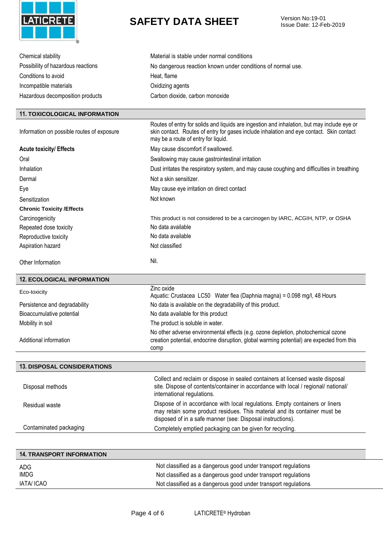

Issue Date: 12-Feb-2019

| Chemical stability                         | Material is stable under normal conditions                                                                                                                                                                                     |
|--------------------------------------------|--------------------------------------------------------------------------------------------------------------------------------------------------------------------------------------------------------------------------------|
| Possibility of hazardous reactions         | No dangerous reaction known under conditions of normal use.                                                                                                                                                                    |
| Conditions to avoid                        | Heat, flame                                                                                                                                                                                                                    |
| Incompatible materials                     | Oxidizing agents                                                                                                                                                                                                               |
| Hazardous decomposition products           | Carbon dioxide, carbon monoxide                                                                                                                                                                                                |
|                                            |                                                                                                                                                                                                                                |
| <b>11. TOXICOLOGICAL INFORMATION</b>       |                                                                                                                                                                                                                                |
| Information on possible routes of exposure | Routes of entry for solids and liquids are ingestion and inhalation, but may include eye or<br>skin contact. Routes of entry for gases include inhalation and eye contact. Skin contact<br>may be a route of entry for liquid. |
| <b>Acute toxicity/ Effects</b>             | May cause discomfort if swallowed.                                                                                                                                                                                             |
| Oral                                       | Swallowing may cause gastrointestinal irritation                                                                                                                                                                               |
| Inhalation                                 | Dust irritates the respiratory system, and may cause coughing and difficulties in breathing                                                                                                                                    |
| Dermal                                     | Not a skin sensitizer.                                                                                                                                                                                                         |
| Eye                                        | May cause eye irritation on direct contact                                                                                                                                                                                     |
| Sensitization                              | Not known                                                                                                                                                                                                                      |
| <b>Chronic Toxicity /Effects</b>           |                                                                                                                                                                                                                                |
| Carcinogenicity                            | This product is not considered to be a carcinogen by IARC, ACGIH, NTP, or OSHA                                                                                                                                                 |
| Repeated dose toxicity                     | No data available                                                                                                                                                                                                              |
| Reproductive toxicity                      | No data available                                                                                                                                                                                                              |
| Aspiration hazard                          | Not classified                                                                                                                                                                                                                 |
| Other Information                          | Nil.                                                                                                                                                                                                                           |
| <b>12. ECOLOGICAL INFORMATION</b>          |                                                                                                                                                                                                                                |
| Eco-toxicity                               | Zinc oxide<br>Aquatic: Crustacea LC50 Water flea (Daphnia magna) = 0.098 mg/l, 48 Hours                                                                                                                                        |
| Persistence and degradability              | No data is available on the degradability of this product.                                                                                                                                                                     |
|                                            |                                                                                                                                                                                                                                |
| Bioaccumulative potential                  | No data available for this product                                                                                                                                                                                             |
| Mobility in soil                           | The product is soluble in water.                                                                                                                                                                                               |
| Additional information                     | No other adverse environmental effects (e.g. ozone depletion, photochemical ozone<br>creation potential, endocrine disruption, global warming potential) are expected from this<br>comp                                        |
|                                            |                                                                                                                                                                                                                                |
| <b>13. DISPOSAL CONSIDERATIONS</b>         |                                                                                                                                                                                                                                |
| Disposal methods                           | Collect and reclaim or dispose in sealed containers at licensed waste disposal<br>site. Dispose of contents/container in accordance with local / regional/ national/<br>international regulations.                             |
| Residual waste                             | Dispose of in accordance with local regulations. Empty containers or liners<br>may retain some product residues. This material and its container must be<br>disposed of in a safe manner (see: Disposal instructions).         |
| Contaminated packaging                     | Completely emptied packaging can be given for recycling.                                                                                                                                                                       |
|                                            |                                                                                                                                                                                                                                |
| <b>14. TRANSPORT INFORMATION</b>           |                                                                                                                                                                                                                                |

| ADG        | Not classified as a dangerous good under transport regulations |
|------------|----------------------------------------------------------------|
| IMDG       | Not classified as a dangerous good under transport regulations |
| IATA/ ICAO | Not classified as a dangerous good under transport regulations |